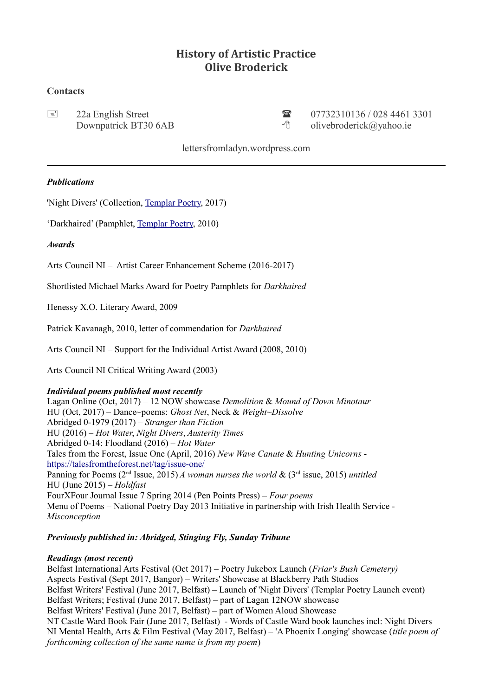# **History of Artistic Practice Olive Broderick**

## **Contacts**

 22a English Street 07732310136 / 028 4461 3301 Downpatrick BT30 6AB  $\Diamond$  divebroderick@yahoo.ie

lettersfromladyn.wordpress.com

## *Publications*

'Night Divers' (Collection, [Templar Poetry,](https://templarpoetry.com/products/night-divers) 2017)

'Darkhaired' (Pamphlet, [Templar Poetry,](http://templarpoetry.com/) 2010)

## *Awards*

Arts Council NI – Artist Career Enhancement Scheme (2016-2017)

Shortlisted Michael Marks Award for Poetry Pamphlets for *Darkhaired*

Henessy X.O. Literary Award, 2009

Patrick Kavanagh, 2010, letter of commendation for *Darkhaired*

Arts Council NI – Support for the Individual Artist Award (2008, 2010)

Arts Council NI Critical Writing Award (2003)

### *Individual poems published most recently*

Lagan Online (Oct, 2017) – 12 NOW showcase *Demolition* & *Mound of Down Minotaur* HU (Oct, 2017) – Dance~poems: *Ghost Net*, Neck & *Weight~Dissolve* Abridged 0-1979 (2017) – *Stranger than Fiction* HU (2016) – *Hot Water*, *Night Divers*, *Austerity Times* Abridged 0-14: Floodland (2016) – *Hot Water* Tales from the Forest, Issue One (April, 2016) *New Wave Canute* & *Hunting Unicorns*  <https://talesfromtheforest.net/tag/issue-one/> Panning for Poems (2nd Issue, 2015) *A woman nurses the world* & (3rd issue, 2015) *untitled* HU (June 2015) – *Holdfast* FourXFour Journal Issue 7 Spring 2014 (Pen Points Press) – *Four poems* Menu of Poems – National Poetry Day 2013 Initiative in partnership with Irish Health Service - *Misconception*

## *Previously published in: Abridged, Stinging Fly, Sunday Tribune*

### *Readings (most recent)*

Belfast International Arts Festival (Oct 2017) – Poetry Jukebox Launch (*Friar's Bush Cemetery)* Aspects Festival (Sept 2017, Bangor) – Writers' Showcase at Blackberry Path Studios Belfast Writers' Festival (June 2017, Belfast) – Launch of 'Night Divers' (Templar Poetry Launch event) Belfast Writers; Festival (June 2017, Belfast) – part of Lagan 12NOW showcase Belfast Writers' Festival (June 2017, Belfast) – part of Women Aloud Showcase NT Castle Ward Book Fair (June 2017, Belfast) - Words of Castle Ward book launches incl: Night Divers NI Mental Health, Arts & Film Festival (May 2017, Belfast) – 'A Phoenix Longing' showcase (*title poem of forthcoming collection of the same name is from my poem*)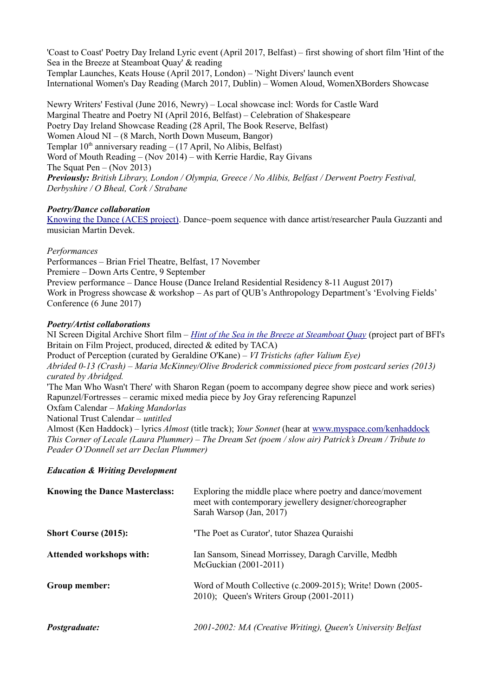'Coast to Coast' Poetry Day Ireland Lyric event (April 2017, Belfast) – first showing of short film 'Hint of the Sea in the Breeze at Steamboat Quay' & reading Templar Launches, Keats House (April 2017, London) – 'Night Divers' launch event International Women's Day Reading (March 2017, Dublin) – Women Aloud, WomenXBorders Showcase

Newry Writers' Festival (June 2016, Newry) – Local showcase incl: Words for Castle Ward Marginal Theatre and Poetry NI (April 2016, Belfast) – Celebration of Shakespeare Poetry Day Ireland Showcase Reading (28 April, The Book Reserve, Belfast) Women Aloud NI – (8 March, North Down Museum, Bangor) Templar  $10<sup>th</sup>$  anniversary reading  $- (17$  April, No Alibis, Belfast) Word of Mouth Reading – (Nov 2014) – with Kerrie Hardie, Ray Givans The Squat Pen – (Nov 2013) *Previously: British Library, London / Olympia, Greece / No Alibis, Belfast / Derwent Poetry Festival, Derbyshire / O Bheal, Cork / Strabane*

## *Poetry/Dance collaboration*

[Knowing the Dance \(ACES project\).](https://youtu.be/5blUPszSgqE) Dance~poem sequence with dance artist/researcher Paula Guzzanti and musician Martin Devek.

### *Performances*

Performances – Brian Friel Theatre, Belfast, 17 November Premiere – Down Arts Centre, 9 September Preview performance – Dance House (Dance Ireland Residential Residency 8-11 August 2017) Work in Progress showcase & workshop – As part of QUB's Anthropology Department's 'Evolving Fields' Conference (6 June 2017)

## *Poetry/Artist collaborations*

NI Screen Digital Archive Short film – *[Hint of the Sea in the Breeze at Steamboat Quay](http://digitalfilmarchive.net/media/hint-of-the-sea-in-the-2151)* (project part of BFI's Britain on Film Project, produced, directed & edited by TACA) Product of Perception (curated by Geraldine O'Kane) – *VI Tristichs (after Valium Eye) Abrided 0-13 (Crash) – Maria McKinney/Olive Broderick commissioned piece from postcard series (2013) curated by Abridged.* 'The Man Who Wasn't There' with Sharon Regan (poem to accompany degree show piece and work series) Rapunzel/Fortresses – ceramic mixed media piece by Joy Gray referencing Rapunzel Oxfam Calendar – *Making Mandorlas*  National Trust Calendar – *untitled* Almost (Ken Haddock) – lyrics *Almost* (title track); *Your Sonnet* (hear at [www.myspace.com/kenhaddock](http://www.myspace.com/kenhaddock) *This Corner of Lecale (Laura Plummer) – The Dream Set (poem / slow air) Patrick's Dream / Tribute to* 

## *Education & Writing Development*

*Peader O'Donnell set arr Declan Plummer)*

| <b>Knowing the Dance Masterclass:</b> | Exploring the middle place where poetry and dance/movement<br>meet with contemporary jewellery designer/choreographer<br>Sarah Warsop (Jan, 2017) |
|---------------------------------------|---------------------------------------------------------------------------------------------------------------------------------------------------|
| <b>Short Course (2015):</b>           | 'The Poet as Curator', tutor Shazea Quraishi                                                                                                      |
| <b>Attended workshops with:</b>       | Ian Sansom, Sinead Morrissey, Daragh Carville, Medbh<br>McGuckian (2001-2011)                                                                     |
| Group member:                         | Word of Mouth Collective (c.2009-2015); Write! Down (2005-<br>2010); Queen's Writers Group (2001-2011)                                            |
| <i>Postgraduate:</i>                  | 2001-2002: MA (Creative Writing), Queen's University Belfast                                                                                      |